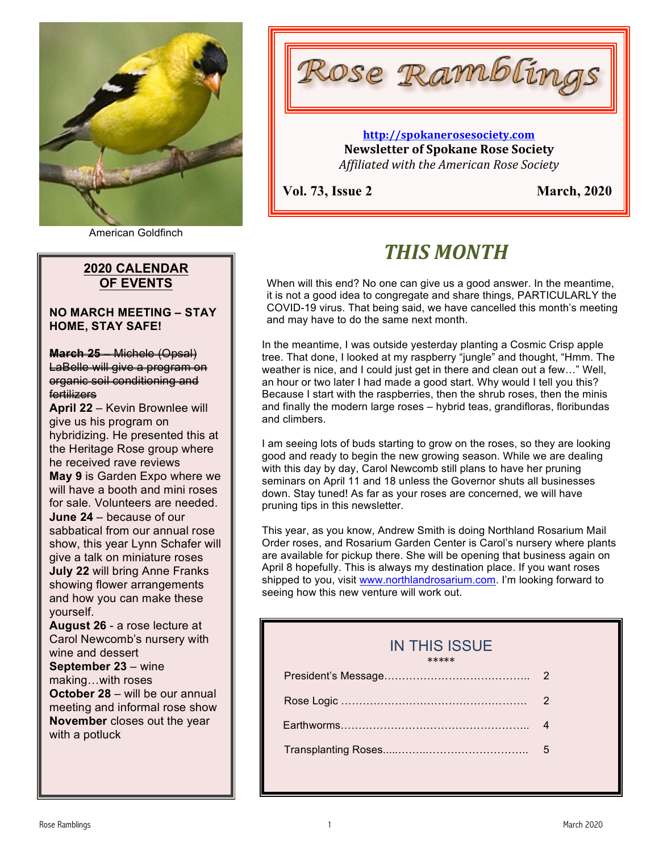

American Goldfinch

## **2020 CALENDAR OF EVENTS**

**NO MARCH MEETING – STAY HOME, STAY SAFE!**

**March 25** – Michele (Opsal) LaBelle will give a program on organic soil conditioning and fertilizers

**April 22** – Kevin Brownlee will give us his program on hybridizing. He presented this at the Heritage Rose group where he received rave reviews **May 9** is Garden Expo where we will have a booth and mini roses for sale. Volunteers are needed. **June 24** – because of our sabbatical from our annual rose show, this year Lynn Schafer will give a talk on miniature roses **July 22** will bring Anne Franks showing flower arrangements and how you can make these yourself.

**August 26** - a rose lecture at Carol Newcomb's nursery with wine and dessert **September 23** – wine making…with roses **October 28** – will be our annual meeting and informal rose show **November** closes out the year with a potluck



## **http://spokanerosesociety.com Newsletter of Spokane Rose Society** *Affiliated with the American Rose Society*

**Vol. 73, Issue 2 March, 2020**

# *THIS MONTH*

When will this end? No one can give us a good answer. In the meantime, it is not a good idea to congregate and share things, PARTICULARLY the COVID-19 virus. That being said, we have cancelled this month's meeting and may have to do the same next month.

In the meantime, I was outside yesterday planting a Cosmic Crisp apple tree. That done, I looked at my raspberry "jungle" and thought, "Hmm. The weather is nice, and I could just get in there and clean out a few…" Well, an hour or two later I had made a good start. Why would I tell you this? Because I start with the raspberries, then the shrub roses, then the minis and finally the modern large roses – hybrid teas, grandifloras, floribundas and climbers.

I am seeing lots of buds starting to grow on the roses, so they are looking good and ready to begin the new growing season. While we are dealing with this day by day, Carol Newcomb still plans to have her pruning seminars on April 11 and 18 unless the Governor shuts all businesses down. Stay tuned! As far as your roses are concerned, we will have pruning tips in this newsletter.

This year, as you know, Andrew Smith is doing Northland Rosarium Mail Order roses, and Rosarium Garden Center is Carol's nursery where plants are available for pickup there. She will be opening that business again on April 8 hopefully. This is always my destination place. If you want roses shipped to you, visit www.northlandrosarium.com. I'm looking forward to seeing how this new venture will work out.

## IN THIS ISSUE

\*\*\*\*\* President's Message………………………………….. 2 Rose Logic ……………………………………………. 2 Earthworms…………………………………………….. 4 Transplanting Roses.....……..……………………….. 5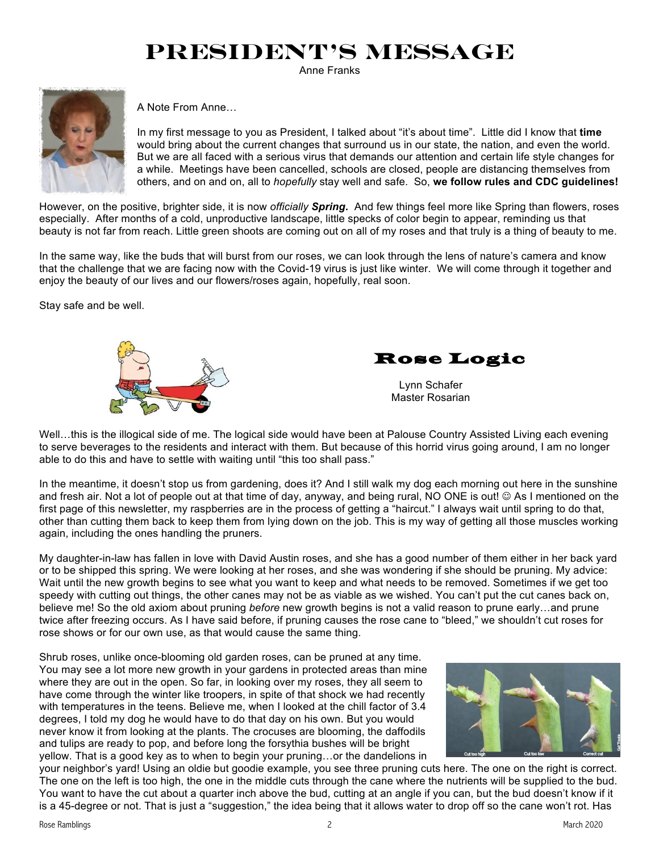# **President's Message**

Anne Franks



A Note From Anne…

In my first message to you as President, I talked about "it's about time". Little did I know that **time** would bring about the current changes that surround us in our state, the nation, and even the world. But we are all faced with a serious virus that demands our attention and certain life style changes for a while. Meetings have been cancelled, schools are closed, people are distancing themselves from others, and on and on, all to *hopefully* stay well and safe. So, **we follow rules and CDC guidelines!** 

However, on the positive, brighter side, it is now *officially Spring.* And few things feel more like Spring than flowers, roses especially. After months of a cold, unproductive landscape, little specks of color begin to appear, reminding us that beauty is not far from reach. Little green shoots are coming out on all of my roses and that truly is a thing of beauty to me.

In the same way, like the buds that will burst from our roses, we can look through the lens of nature's camera and know that the challenge that we are facing now with the Covid-19 virus is just like winter. We will come through it together and enjoy the beauty of our lives and our flowers/roses again, hopefully, real soon.

Stay safe and be well.



Rose Logic

 Lynn Schafer Master Rosarian

Well...this is the illogical side of me. The logical side would have been at Palouse Country Assisted Living each evening to serve beverages to the residents and interact with them. But because of this horrid virus going around, I am no longer able to do this and have to settle with waiting until "this too shall pass."

In the meantime, it doesn't stop us from gardening, does it? And I still walk my dog each morning out here in the sunshine and fresh air. Not a lot of people out at that time of day, anyway, and being rural, NO ONE is out! © As I mentioned on the first page of this newsletter, my raspberries are in the process of getting a "haircut." I always wait until spring to do that, other than cutting them back to keep them from lying down on the job. This is my way of getting all those muscles working again, including the ones handling the pruners.

My daughter-in-law has fallen in love with David Austin roses, and she has a good number of them either in her back yard or to be shipped this spring. We were looking at her roses, and she was wondering if she should be pruning. My advice: Wait until the new growth begins to see what you want to keep and what needs to be removed. Sometimes if we get too speedy with cutting out things, the other canes may not be as viable as we wished. You can't put the cut canes back on, believe me! So the old axiom about pruning *before* new growth begins is not a valid reason to prune early…and prune twice after freezing occurs. As I have said before, if pruning causes the rose cane to "bleed," we shouldn't cut roses for rose shows or for our own use, as that would cause the same thing.

Shrub roses, unlike once-blooming old garden roses, can be pruned at any time. You may see a lot more new growth in your gardens in protected areas than mine where they are out in the open. So far, in looking over my roses, they all seem to have come through the winter like troopers, in spite of that shock we had recently with temperatures in the teens. Believe me, when I looked at the chill factor of 3.4 degrees, I told my dog he would have to do that day on his own. But you would never know it from looking at the plants. The crocuses are blooming, the daffodils and tulips are ready to pop, and before long the forsythia bushes will be bright yellow. That is a good key as to when to begin your pruning…or the dandelions in



your neighbor's yard! Using an oldie but goodie example, you see three pruning cuts here. The one on the right is correct. The one on the left is too high, the one in the middle cuts through the cane where the nutrients will be supplied to the bud. You want to have the cut about a quarter inch above the bud, cutting at an angle if you can, but the bud doesn't know if it is a 45-degree or not. That is just a "suggestion," the idea being that it allows water to drop off so the cane won't rot. Has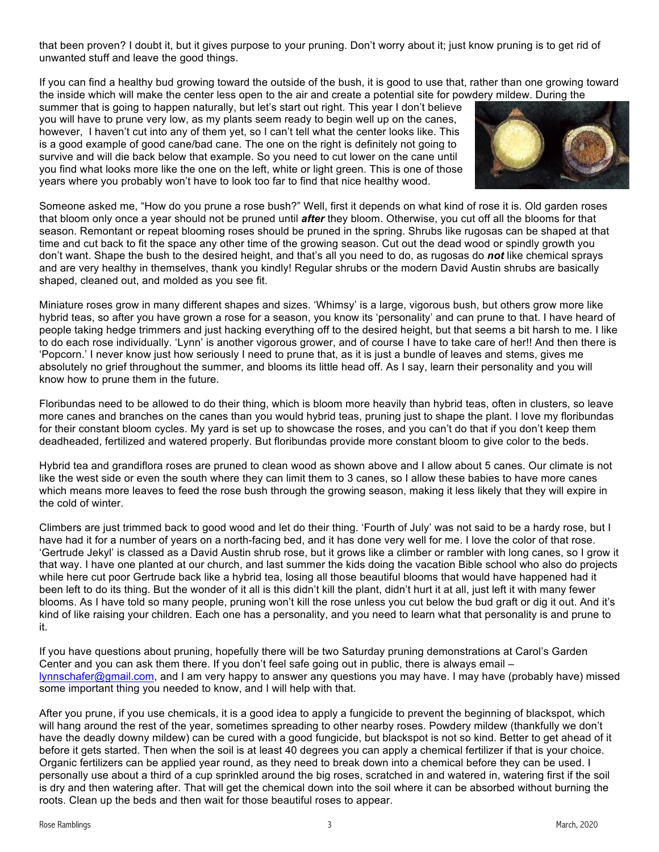that been proven? I doubt it, but it gives purpose to your pruning. Don't worry about it; just know pruning is to get rid of unwanted stuff and leave the good things.

If you can find a healthy bud growing toward the outside of the bush, it is good to use that, rather than one growing toward the inside which will make the center less open to the air and create a potential site for powdery mildew. During the

summer that is going to happen naturally, but let's start out right. This year I don't believe you will have to prune very low, as my plants seem ready to begin well up on the canes, however, I haven't cut into any of them yet, so I can't tell what the center looks like. This is a good example of good cane/bad cane. The one on the right is definitely not going to survive and will die back below that example. So you need to cut lower on the cane until you find what looks more like the one on the left, white or light green. This is one of those years where you probably won't have to look too far to find that nice healthy wood.



Someone asked me, "How do you prune a rose bush?" Well, first it depends on what kind of rose it is. Old garden roses that bloom only once a year should not be pruned until *after* they bloom. Otherwise, you cut off all the blooms for that season. Remontant or repeat blooming roses should be pruned in the spring. Shrubs like rugosas can be shaped at that time and cut back to fit the space any other time of the growing season. Cut out the dead wood or spindly growth you don't want. Shape the bush to the desired height, and that's all you need to do, as rugosas do *not* like chemical sprays and are very healthy in themselves, thank you kindly! Regular shrubs or the modern David Austin shrubs are basically shaped, cleaned out, and molded as you see fit.

Miniature roses grow in many different shapes and sizes. 'Whimsy' is a large, vigorous bush, but others grow more like hybrid teas, so after you have grown a rose for a season, you know its 'personality' and can prune to that. I have heard of people taking hedge trimmers and just hacking everything off to the desired height, but that seems a bit harsh to me. I like to do each rose individually. 'Lynn' is another vigorous grower, and of course I have to take care of her!! And then there is 'Popcorn.' I never know just how seriously I need to prune that, as it is just a bundle of leaves and stems, gives me absolutely no grief throughout the summer, and blooms its little head off. As I say, learn their personality and you will know how to prune them in the future.

Floribundas need to be allowed to do their thing, which is bloom more heavily than hybrid teas, often in clusters, so leave more canes and branches on the canes than you would hybrid teas, pruning just to shape the plant. I love my floribundas for their constant bloom cycles. My yard is set up to showcase the roses, and you can't do that if you don't keep them deadheaded, fertilized and watered properly. But floribundas provide more constant bloom to give color to the beds.

Hybrid tea and grandiflora roses are pruned to clean wood as shown above and I allow about 5 canes. Our climate is not like the west side or even the south where they can limit them to 3 canes, so I allow these babies to have more canes which means more leaves to feed the rose bush through the growing season, making it less likely that they will expire in the cold of winter.

Climbers are just trimmed back to good wood and let do their thing. 'Fourth of July' was not said to be a hardy rose, but I have had it for a number of years on a north-facing bed, and it has done very well for me. I love the color of that rose. 'Gertrude Jekyl' is classed as a David Austin shrub rose, but it grows like a climber or rambler with long canes, so I grow it that way. I have one planted at our church, and last summer the kids doing the vacation Bible school who also do projects while here cut poor Gertrude back like a hybrid tea, losing all those beautiful blooms that would have happened had it been left to do its thing. But the wonder of it all is this didn't kill the plant, didn't hurt it at all, just left it with many fewer blooms. As I have told so many people, pruning won't kill the rose unless you cut below the bud graft or dig it out. And it's kind of like raising your children. Each one has a personality, and you need to learn what that personality is and prune to it.

If you have questions about pruning, hopefully there will be two Saturday pruning demonstrations at Carol's Garden Center and you can ask them there. If you don't feel safe going out in public, there is always email – lynnschafer@gmail.com, and I am very happy to answer any questions you may have. I may have (probably have) missed some important thing you needed to know, and I will help with that.

After you prune, if you use chemicals, it is a good idea to apply a fungicide to prevent the beginning of blackspot, which will hang around the rest of the year, sometimes spreading to other nearby roses. Powdery mildew (thankfully we don't have the deadly downy mildew) can be cured with a good fungicide, but blackspot is not so kind. Better to get ahead of it before it gets started. Then when the soil is at least 40 degrees you can apply a chemical fertilizer if that is your choice. Organic fertilizers can be applied year round, as they need to break down into a chemical before they can be used. I personally use about a third of a cup sprinkled around the big roses, scratched in and watered in, watering first if the soil is dry and then watering after. That will get the chemical down into the soil where it can be absorbed without burning the roots. Clean up the beds and then wait for those beautiful roses to appear.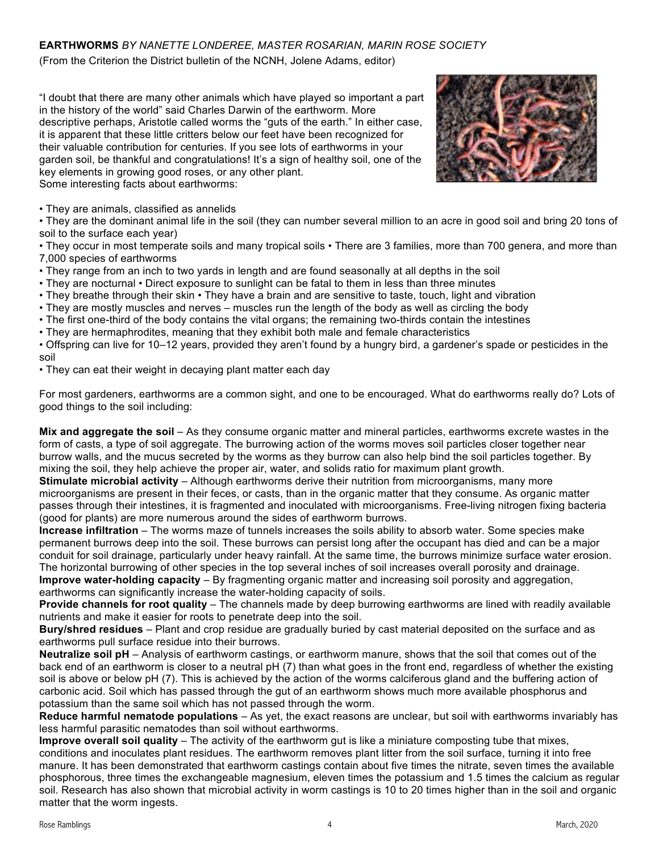## **EARTHWORMS** *BY NANETTE LONDEREE, MASTER ROSARIAN, MARIN ROSE SOCIETY*

(From the Criterion the District bulletin of the NCNH, Jolene Adams, editor)

"I doubt that there are many other animals which have played so important a part in the history of the world" said Charles Darwin of the earthworm. More descriptive perhaps, Aristotle called worms the "guts of the earth." In either case, it is apparent that these little critters below our feet have been recognized for their valuable contribution for centuries. If you see lots of earthworms in your garden soil, be thankful and congratulations! It's a sign of healthy soil, one of the key elements in growing good roses, or any other plant. Some interesting facts about earthworms:



• They are animals, classified as annelids

• They are the dominant animal life in the soil (they can number several million to an acre in good soil and bring 20 tons of soil to the surface each year)

• They occur in most temperate soils and many tropical soils • There are 3 families, more than 700 genera, and more than 7,000 species of earthworms

• They range from an inch to two yards in length and are found seasonally at all depths in the soil

• They are nocturnal • Direct exposure to sunlight can be fatal to them in less than three minutes

• They breathe through their skin • They have a brain and are sensitive to taste, touch, light and vibration

• They are mostly muscles and nerves – muscles run the length of the body as well as circling the body

• The first one-third of the body contains the vital organs; the remaining two-thirds contain the intestines

• They are hermaphrodites, meaning that they exhibit both male and female characteristics

• Offspring can live for 10–12 years, provided they aren't found by a hungry bird, a gardener's spade or pesticides in the soil

• They can eat their weight in decaying plant matter each day

For most gardeners, earthworms are a common sight, and one to be encouraged. What do earthworms really do? Lots of good things to the soil including:

**Mix and aggregate the soil** – As they consume organic matter and mineral particles, earthworms excrete wastes in the form of casts, a type of soil aggregate. The burrowing action of the worms moves soil particles closer together near burrow walls, and the mucus secreted by the worms as they burrow can also help bind the soil particles together. By mixing the soil, they help achieve the proper air, water, and solids ratio for maximum plant growth.

**Stimulate microbial activity** – Although earthworms derive their nutrition from microorganisms, many more microorganisms are present in their feces, or casts, than in the organic matter that they consume. As organic matter passes through their intestines, it is fragmented and inoculated with microorganisms. Free-living nitrogen fixing bacteria (good for plants) are more numerous around the sides of earthworm burrows.

**Increase infiltration** – The worms maze of tunnels increases the soils ability to absorb water. Some species make permanent burrows deep into the soil. These burrows can persist long after the occupant has died and can be a major conduit for soil drainage, particularly under heavy rainfall. At the same time, the burrows minimize surface water erosion. The horizontal burrowing of other species in the top several inches of soil increases overall porosity and drainage.

**Improve water-holding capacity** – By fragmenting organic matter and increasing soil porosity and aggregation, earthworms can significantly increase the water-holding capacity of soils.

**Provide channels for root quality** – The channels made by deep burrowing earthworms are lined with readily available nutrients and make it easier for roots to penetrate deep into the soil.

**Bury/shred residues** – Plant and crop residue are gradually buried by cast material deposited on the surface and as earthworms pull surface residue into their burrows.

**Neutralize soil pH** – Analysis of earthworm castings, or earthworm manure, shows that the soil that comes out of the back end of an earthworm is closer to a neutral pH (7) than what goes in the front end, regardless of whether the existing soil is above or below pH (7). This is achieved by the action of the worms calciferous gland and the buffering action of carbonic acid. Soil which has passed through the gut of an earthworm shows much more available phosphorus and potassium than the same soil which has not passed through the worm.

**Reduce harmful nematode populations** – As yet, the exact reasons are unclear, but soil with earthworms invariably has less harmful parasitic nematodes than soil without earthworms.

**Improve overall soil quality** – The activity of the earthworm gut is like a miniature composting tube that mixes, conditions and inoculates plant residues. The earthworm removes plant litter from the soil surface, turning it into free manure. It has been demonstrated that earthworm castings contain about five times the nitrate, seven times the available phosphorous, three times the exchangeable magnesium, eleven times the potassium and 1.5 times the calcium as regular soil. Research has also shown that microbial activity in worm castings is 10 to 20 times higher than in the soil and organic matter that the worm ingests.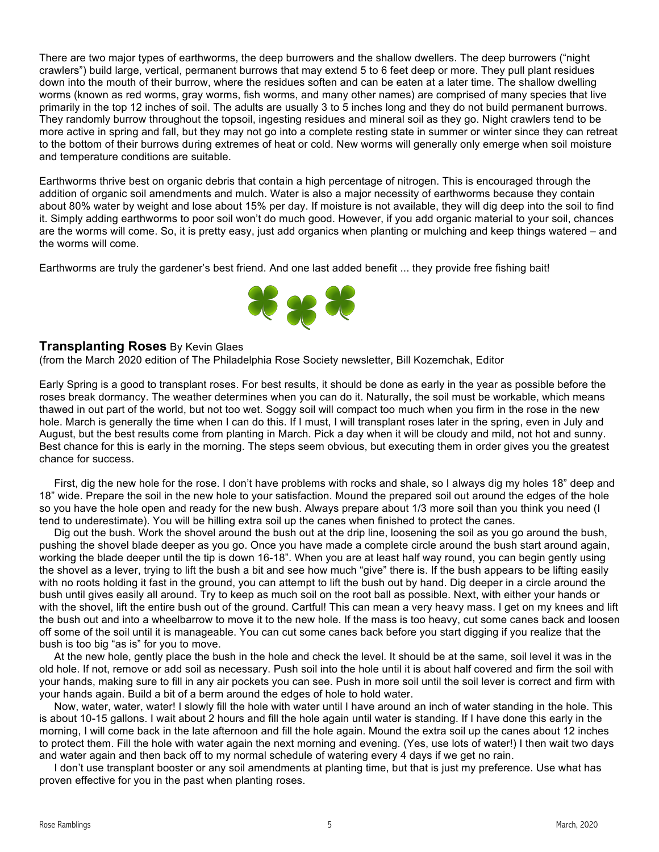There are two major types of earthworms, the deep burrowers and the shallow dwellers. The deep burrowers ("night crawlers") build large, vertical, permanent burrows that may extend 5 to 6 feet deep or more. They pull plant residues down into the mouth of their burrow, where the residues soften and can be eaten at a later time. The shallow dwelling worms (known as red worms, gray worms, fish worms, and many other names) are comprised of many species that live primarily in the top 12 inches of soil. The adults are usually 3 to 5 inches long and they do not build permanent burrows. They randomly burrow throughout the topsoil, ingesting residues and mineral soil as they go. Night crawlers tend to be more active in spring and fall, but they may not go into a complete resting state in summer or winter since they can retreat to the bottom of their burrows during extremes of heat or cold. New worms will generally only emerge when soil moisture and temperature conditions are suitable.

Earthworms thrive best on organic debris that contain a high percentage of nitrogen. This is encouraged through the addition of organic soil amendments and mulch. Water is also a major necessity of earthworms because they contain about 80% water by weight and lose about 15% per day. If moisture is not available, they will dig deep into the soil to find it. Simply adding earthworms to poor soil won't do much good. However, if you add organic material to your soil, chances are the worms will come. So, it is pretty easy, just add organics when planting or mulching and keep things watered – and the worms will come.

Earthworms are truly the gardener's best friend. And one last added benefit ... they provide free fishing bait!



### **Transplanting Roses** By Kevin Glaes

(from the March 2020 edition of The Philadelphia Rose Society newsletter, Bill Kozemchak, Editor

Early Spring is a good to transplant roses. For best results, it should be done as early in the year as possible before the roses break dormancy. The weather determines when you can do it. Naturally, the soil must be workable, which means thawed in out part of the world, but not too wet. Soggy soil will compact too much when you firm in the rose in the new hole. March is generally the time when I can do this. If I must, I will transplant roses later in the spring, even in July and August, but the best results come from planting in March. Pick a day when it will be cloudy and mild, not hot and sunny. Best chance for this is early in the morning. The steps seem obvious, but executing them in order gives you the greatest chance for success.

 First, dig the new hole for the rose. I don't have problems with rocks and shale, so I always dig my holes 18" deep and 18" wide. Prepare the soil in the new hole to your satisfaction. Mound the prepared soil out around the edges of the hole so you have the hole open and ready for the new bush. Always prepare about 1/3 more soil than you think you need (I tend to underestimate). You will be hilling extra soil up the canes when finished to protect the canes.

 Dig out the bush. Work the shovel around the bush out at the drip line, loosening the soil as you go around the bush, pushing the shovel blade deeper as you go. Once you have made a complete circle around the bush start around again, working the blade deeper until the tip is down 16-18". When you are at least half way round, you can begin gently using the shovel as a lever, trying to lift the bush a bit and see how much "give" there is. If the bush appears to be lifting easily with no roots holding it fast in the ground, you can attempt to lift the bush out by hand. Dig deeper in a circle around the bush until gives easily all around. Try to keep as much soil on the root ball as possible. Next, with either your hands or with the shovel, lift the entire bush out of the ground. Cartful! This can mean a very heavy mass. I get on my knees and lift the bush out and into a wheelbarrow to move it to the new hole. If the mass is too heavy, cut some canes back and loosen off some of the soil until it is manageable. You can cut some canes back before you start digging if you realize that the bush is too big "as is" for you to move.

 At the new hole, gently place the bush in the hole and check the level. It should be at the same, soil level it was in the old hole. If not, remove or add soil as necessary. Push soil into the hole until it is about half covered and firm the soil with your hands, making sure to fill in any air pockets you can see. Push in more soil until the soil lever is correct and firm with your hands again. Build a bit of a berm around the edges of hole to hold water.

 Now, water, water, water! I slowly fill the hole with water until I have around an inch of water standing in the hole. This is about 10-15 gallons. I wait about 2 hours and fill the hole again until water is standing. If I have done this early in the morning, I will come back in the late afternoon and fill the hole again. Mound the extra soil up the canes about 12 inches to protect them. Fill the hole with water again the next morning and evening. (Yes, use lots of water!) I then wait two days and water again and then back off to my normal schedule of watering every 4 days if we get no rain.

 I don't use transplant booster or any soil amendments at planting time, but that is just my preference. Use what has proven effective for you in the past when planting roses.